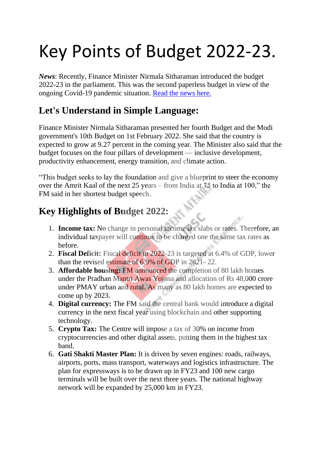# Key Points of Budget 2022-23.

*News*: Recently, Finance Minister Nirmala Sitharaman introduced the budget 2022-23 in the parliament. This was the second paperless budget in view of the ongoing Covid-19 pandemic situation. [Read the news here.](https://indianexpress.com/article/business/budget/budget-2022-highlights-7750982/)

# **Let's Understand in Simple Language:**

Finance Minister Nirmala Sitharaman presented her fourth Budget and the Modi government's 10th Budget on 1st February 2022. She said that the country is expected to grow at 9.27 percent in the coming year. The Minister also said that the budget focuses on the four pillars of development — inclusive development, productivity enhancement, energy transition, and climate action.

"This budget seeks to lay the foundation and give a blueprint to steer the economy over the Amrit Kaal of the next 25 years – from India at 75 to India at 100," the FM said in her shortest budget speech.

# **Key Highlights of Budget 2022:**

- 1. **Income tax:** No change in personal income tax slabs or rates. Therefore, an individual taxpayer will continue to be charged one the same tax rates as before.
- 2. **Fiscal Deficit:** Fiscal deficit in 2022-23 is targeted at 6.4% of GDP, lower than the revised estimate of 6.9% of GDP in 2021- 22.
- 3. **Affordable housing:** FM announced the completion of 80 lakh homes under the Pradhan Mantri Awas Yojana and allocation of Rs 48,000 crore under PMAY urban and rural. As many as 80 lakh homes are expected to come up by 2023.
- 4. **Digital currency:** The FM said the central bank would introduce a digital currency in the next fiscal year using blockchain and other supporting technology.
- 5. **Crypto Tax:** The Centre will impose a tax of 30% on income from cryptocurrencies and other digital assets, putting them in the highest tax band.
- 6. **Gati Shakti Master Plan:** It is driven by seven engines: roads, railways, airports, ports, mass transport, waterways and logistics infrastructure. The plan for expressways is to be drawn up in FY23 and 100 new cargo terminals will be built over the next three years. The national highway network will be expanded by 25,000 km in FY23.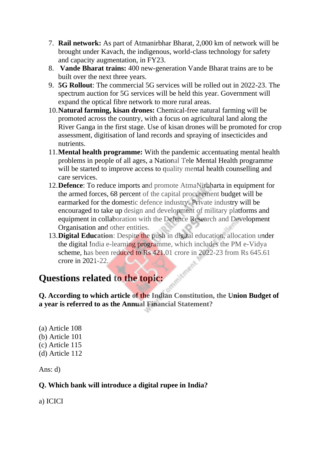- 7. **Rail network:** As part of Atmanirbhar Bharat, 2,000 km of network will be brought under Kavach, the indigenous, world-class technology for safety and capacity augmentation, in FY23.
- 8. **Vande Bharat trains:** 400 new-generation Vande Bharat trains are to be built over the next three years.
- 9. **5G Rollout**: The commercial 5G services will be rolled out in 2022-23. The spectrum auction for 5G services will be held this year. Government will expand the optical fibre network to more rural areas.
- 10.**Natural farming, kisan drones:** Chemical-free natural farming will be promoted across the country, with a focus on agricultural land along the River Ganga in the first stage. Use of kisan drones will be promoted for crop assessment, digitisation of land records and spraying of insecticides and nutrients.
- 11.**Mental health programme:** With the pandemic accentuating mental health problems in people of all ages, a National Tele Mental Health programme will be started to improve access to quality mental health counselling and care services.
- 12.**Defence**: To reduce imports and promote AtmaNirbharta in equipment for the armed forces, 68 percent of the capital procurement budget will be earmarked for the domestic defence industry. Private industry will be encouraged to take up design and development of military platforms and equipment in collaboration with the Defence Research and Development Organisation and other entities.
- 13.**Digital Education**: Despite the push in digital education, allocation under the digital India e-learning programme, which includes the PM e-Vidya scheme, has been reduced to Rs 421.01 crore in 2022-23 from Rs 645.61 crore in 2021-22.

### **Questions related to the topic:**

**Q. According to which article of the Indian Constitution, the Union Budget of a year is referred to as the Annual Financial Statement?**

(a) Article 108 (b) Article 101 (c) Article 115 (d) Article 112

Ans: d)

#### **Q. Which bank will introduce a digital rupee in India?**

a) ICICI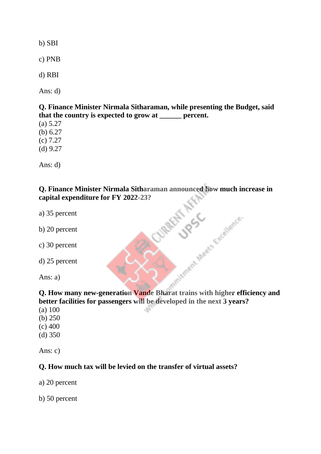b) SBI

c) PNB

d) RBI

Ans: d)

**Q. Finance Minister Nirmala Sitharaman, while presenting the Budget, said that the country is expected to grow at \_\_\_\_\_\_ percent.**

(a) 5.27

(b) 6.27

(c) 7.27

(d) 9.27

Ans: d)

# **Q.** Finance Minister Nirmala Sitharaman announced how much increase in capital expenditure for FY 2022-23?<br>
a) 35 percent<br>
b) 20 percent<br>
c) 30 percent<br>
d) 25 percent<br>
d) 25 percent **capital expenditure for FY 2022-23?**

- a) 35 percent
- b) 20 percent
- c) 30 percent
- d) 25 percent

Ans: a)

**Q. How many new-generation Vande Bharat trains with higher efficiency and better facilities for passengers will be developed in the next 3 years?**

Jament

- (a) 100
- (b) 250
- (c) 400
- (d) 350

Ans: c)

#### **Q. How much tax will be levied on the transfer of virtual assets?**

a) 20 percent

b) 50 percent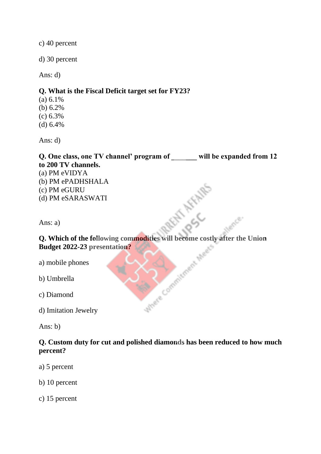c) 40 percent

d) 30 percent

Ans: d)

#### **Q. What is the Fiscal Deficit target set for FY23?**

- (a) 6.1%
- (b) 6.2%
- (c) 6.3%
- (d) 6.4%

Ans: d)

Q. One class, one TV channel' program of will be expanded from 12 **to 200 TV channels.** (a) PM eVIDYA (b) PM ePADHSHALA (c) PM eGURU (d) PM eSARASWATI **Ans: a)**<br> **Q. Which of the following commodities will become costly after the Union** 

Ans: a)

**Budget 2022-23 presentation?**

a) mobile phones

b) Umbrella

c) Diamond

d) Imitation Jewelry

Ans: b)

#### **Q. Custom duty for cut and polished diamonds has been reduced to how much percent?**

Antique Commission

a) 5 percent

b) 10 percent

c) 15 percent